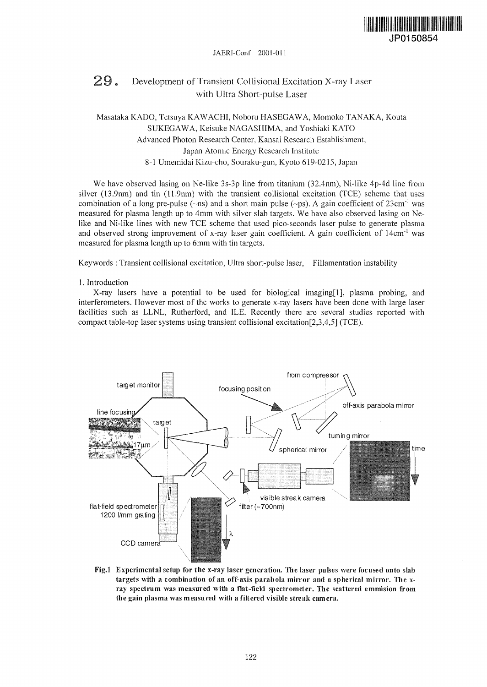

#### JAERl-Conf 2001-01

# 29. Development of Transient Collisional Excitation X-ray Laser with Ultra Short-pulse Laser

# Masataka KADO, Tetsuya KAWACHI, Noboru HASEGAWA, Momoko TANAKA, Kouta SUKEGAWA, Keisuke NAGASHIMA, and Yoshiaki KATO Advanced Photon Research Center, Kansai Research Establishment, Japan Atomic Energy Research Institute 8-1 Umemidai Kizu-cho, Souraku-gun, Kyoto 619-0215, Japan

We have observed lasing on Ne-like 3s-3p line from titanium (32.4nm), Ni-like 4p-4d line from silver (13.9nm) and tin (11.9nm) with the transient collisional excitation (TCE) scheme that uses combination of a long pre-pulse ( $\sim$ ns) and a short main pulse ( $\sim$ ps). A gain coefficient of 23cm<sup>-1</sup> was measured for plasma length up to 4mm with silver slab targets. We have also observed lasing on Nelike and Ni-like lines with new TCE scheme that used pico-seconds laser pulse to generate plasma and observed strong improvement of x-ray laser gain coefficient. A gain coefficient of 14cm<sup>-1</sup> was measured for plasma length up to 6mm with tin targets.

Keywords : Transient collisional excitation, Ultra short-pulse laser, Fillamentation instability

### 1. Introduction

X-ray lasers have a potential to be used for biological imaging[l], plasma probing, and interferometers. However most of the works to generate x-ray lasers have been done with large laser facilities such as LLNL, Rutherford, and ILE. Recently there are several studies reported with compact table-top laser systems using transient collisional excitation[2,3,4,5] (TCE).



Fig.l Experimental setup for the x-ray laser generation. The laser pulses were focused onto slab targets with a combination of an off-axis parabola mirror and a spherical mirror. The xray spectrum was measured with a flat-field spectrometer. The scattered emmision from the gain plasma was measured with a filtered visible streak camera.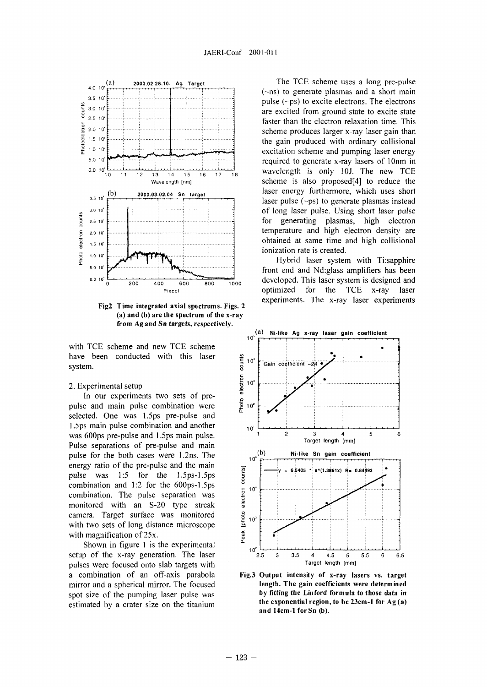

Fig2 Time integrated axial spectrums. Figs. 2 (a) and (b) are the spectrum of the x-ray from Agand Sn targets, respectively.

with TCE scheme and new TCE scheme have been conducted with this laser system.

## 2. Experimental setup

In our experiments two sets of prepulse and main pulse combination were selected. One was 1.5ps pre-pulse and 1.5ps main pulse combination and another was 600ps pre-pulse and 1.5ps main pulse. Pulse separations of pre-pulse and main pulse for the both cases were 1.2ns. The energy ratio of the pre-pulse and the main pulse was 1:5 for the 1.5ps-1.5ps combination and 1:2 for the 600ps-1.5ps combination. The pulse separation was monitored with an S-20 type streak camera. Target surface was monitored with two sets of long distance microscope with magnification of 25x.

Shown in figure 1 is the experimental setup of the x-ray generation. The laser pulses were focused onto slab targets with a combination of an off-axis parabola mirror and a spherical mirror. The focused spot size of the pumping laser pulse was estimated by a crater size on the titanium

The TCE scheme uses a long pre-pulse (~ns) to generate plasmas and a short main pulse (~ps) to excite electrons. The electrons are excited from ground state to excite state faster than the electron relaxation time. This scheme produces larger x-ray laser gain than the gain produced with ordinary collisional excitation scheme and pumping laser energy required to generate x-ray lasers of lOnm in wavelength is only 10J. The new TCE scheme is also proposed[4] to reduce the laser energy furthermore, which uses short laser pulse  $(\neg ps)$  to generate plasmas instead of long laser pulse. Using short laser pulse for generating plasmas, high electron temperature and high electron density are obtained at same time and high collisional ionization rate is created.

Hybrid laser system with Ti:sapphire front end and Nd:glass amplifiers has been developed. This laser system is designed and optimized for the TCE x-ray laser experiments. The x-ray laser experiments



Fig.3 Output intensity of x-ray lasers vs. target length. The gain coefficients were determined by fitting the Linford formula to those data in the exponential region, to be 23cm-l for Ag (a) and 14cm-l forSn (b).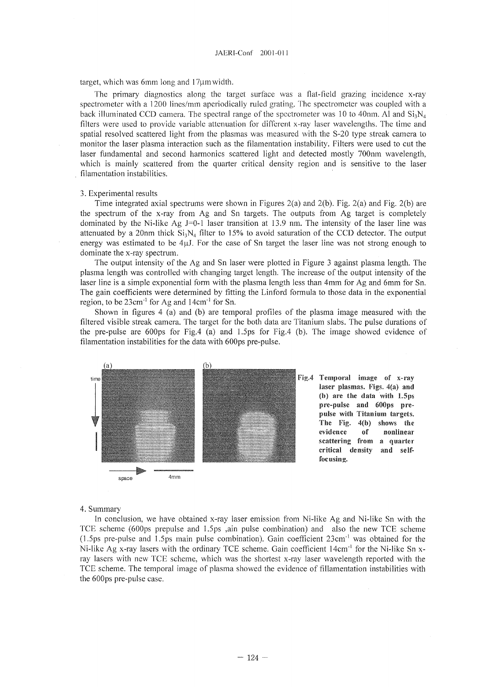target, which was 6mm long and  $17 \mu m$  width.

The primary diagnostics along the target surface was a flat-field grazing incidence x-ray spectrometer with a 1200 lines/mm aperiodically ruled grating. The spectrometer was coupled with a back illuminated CCD camera. The spectral range of the spectrometer was 10 to 40nm. Al and  $Si_1N_4$ filters were used to provide variable attenuation for different x-ray laser wavelengths. The time and spatial resolved scattered light from the plasmas was measured with the S-20 type streak camera to monitor the laser plasma interaction such as the filamentation instability. Filters were used to cut the laser fundamental and second harmonics scattered light and detected mostly 700nm wavelength, which is mainly scattered from the quarter critical density region and is sensitive to the laser filamentation instabilities.

#### 3. Experimental results

Time integrated axial spectrums were shown in Figures  $2(a)$  and  $2(b)$ . Fig.  $2(a)$  and Fig.  $2(b)$  are the spectrum of the x-ray from Ag and Sn targets. The outputs from Ag target is completely dominated by the Ni-like Ag J=0-l laser transition at 13.9 nm. The intensity of the laser line was attenuated by a 20nm thick  $Si_3N_4$  filter to 15% to avoid saturation of the CCD detector. The output energy was estimated to be  $4\mu$ . For the case of Sn target the laser line was not strong enough to dominate the x-ray spectrum.

The output intensity of the Ag and Sn laser were plotted in Figure 3 against plasma length. The plasma length was controlled with changing target length. The increase of the output intensity of the laser line is a simple exponential form with the plasma length less than 4mm for Ag and 6mm for Sn. The gain coefficients were determined by fitting the Linford formula to those data in the exponential region, to be 23cm<sup>-1</sup> for Ag and 14cm<sup>-1</sup> for Sn.

Shown in figures 4 (a) and (b) are temporal profiles of the plasma image measured with the filtered visible streak camera. The target for the both data are Titanium slabs. The pulse durations of the pre-pulse are 600ps for Fig.4 (a) and 1.5ps for Fig.4 (b). The image showed evidence of filamentation instabilities for the data with 600ps pre-pulse.



laser plasmas. Figs. 4(a) and (b) are the data with 1.5ps pre-pulse and 600ps prepulse with Titanium targets. The Fig. 4(b) shows the evidence of nonlinear scattering from a quarter critical density and selffocusing.

#### 4. Summary

In conclusion, we have obtained x-ray laser emission from Ni-like Ag and Ni-like Sn with the TCE scheme (600ps prepulse and 1.5ps ,ain pulse combination) and also the new TCE scheme (1.5ps pre-pulse and 1.5ps main pulse combination). Gain coefficient 23cm"<sup>1</sup> was obtained for the Ni-like Ag x-ray lasers with the ordinary TCE scheme. Gain coefficient 14cm<sup>-1</sup> for the Ni-like Sn xray lasers with new TCE scheme, which was the shortest x-ray laser wavelength reported with the TCE scheme. The temporal image of plasma showed the evidence of fillamentation instabilities with the 600ps pre-pulse case.